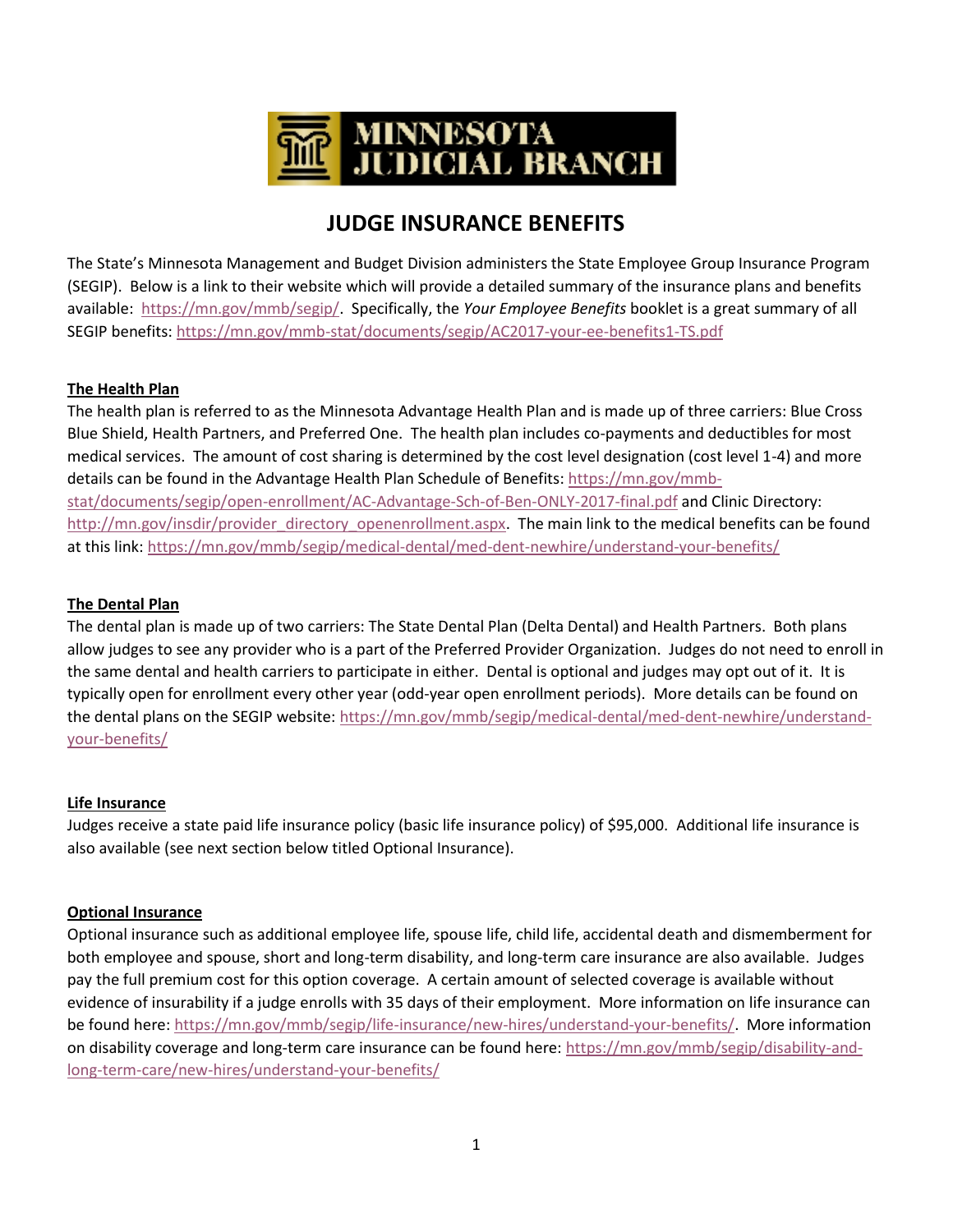

# **JUDGE INSURANCE BENEFITS**

The State's Minnesota Management and Budget Division administers the State Employee Group Insurance Program (SEGIP). Below is a link to their website which will provide a detailed summary of the insurance plans and benefits available: [https://mn.gov/mmb/segip/.](https://mn.gov/mmb/segip/) Specifically, the *Your Employee Benefits* booklet is a great summary of all SEGIP benefits:<https://mn.gov/mmb-stat/documents/segip/AC2017-your-ee-benefits1-TS.pdf>

## **The Health Plan**

The health plan is referred to as the Minnesota Advantage Health Plan and is made up of three carriers: Blue Cross Blue Shield, Health Partners, and Preferred One. The health plan includes co-payments and deductibles for most medical services. The amount of cost sharing is determined by the cost level designation (cost level 1-4) and more details can be found in the Advantage Health Plan Schedule of Benefits: [https://mn.gov/mmb](https://mn.gov/mmb-stat/documents/segip/open-enrollment/AC-Advantage-Sch-of-Ben-ONLY-2017-final.pdf)[stat/documents/segip/open-enrollment/AC-Advantage-Sch-of-Ben-ONLY-2017-final.pdf](https://mn.gov/mmb-stat/documents/segip/open-enrollment/AC-Advantage-Sch-of-Ben-ONLY-2017-final.pdf) and Clinic Directory: [http://mn.gov/insdir/provider\\_directory\\_openenrollment.aspx.](http://mn.gov/insdir/provider_directory_openenrollment.aspx) The main link to the medical benefits can be found at this link[: https://mn.gov/mmb/segip/medical-dental/med-dent-newhire/understand-your-benefits/](https://mn.gov/mmb/segip/medical-dental/med-dent-newhire/understand-your-benefits/)

## **The Dental Plan**

The dental plan is made up of two carriers: The State Dental Plan (Delta Dental) and Health Partners. Both plans allow judges to see any provider who is a part of the Preferred Provider Organization. Judges do not need to enroll in the same dental and health carriers to participate in either. Dental is optional and judges may opt out of it. It is typically open for enrollment every other year (odd-year open enrollment periods). More details can be found on the dental plans on the SEGIP website: [https://mn.gov/mmb/segip/medical-dental/med-dent-newhire/understand](https://mn.gov/mmb/segip/medical-dental/med-dent-newhire/understand-your-benefits/)[your-benefits/](https://mn.gov/mmb/segip/medical-dental/med-dent-newhire/understand-your-benefits/)

## **Life Insurance**

Judges receive a state paid life insurance policy (basic life insurance policy) of \$95,000. Additional life insurance is also available (see next section below titled Optional Insurance).

## **Optional Insurance**

Optional insurance such as additional employee life, spouse life, child life, accidental death and dismemberment for both employee and spouse, short and long-term disability, and long-term care insurance are also available. Judges pay the full premium cost for this option coverage. A certain amount of selected coverage is available without evidence of insurability if a judge enrolls with 35 days of their employment. More information on life insurance can be found here: [https://mn.gov/mmb/segip/life-insurance/new-hires/understand-your-benefits/.](https://mn.gov/mmb/segip/life-insurance/new-hires/understand-your-benefits/) More information on disability coverage and long-term care insurance can be found here[: https://mn.gov/mmb/segip/disability-and](https://mn.gov/mmb/segip/disability-and-long-term-care/new-hires/understand-your-benefits/)[long-term-care/new-hires/understand-your-benefits/](https://mn.gov/mmb/segip/disability-and-long-term-care/new-hires/understand-your-benefits/)